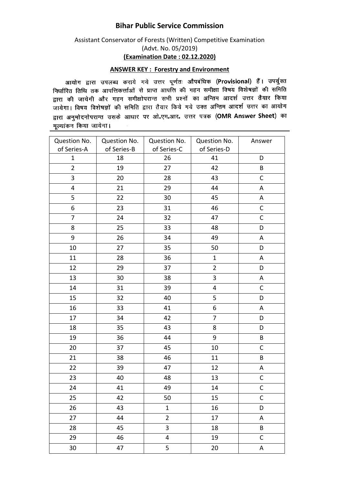## **Bihar Public Service Commission**

## Assistant Conservator of Forests (Written) Competitive Examination (Advt. No. 05/2019) **(Examination Date : 02.12.2020)**

## **ANSWER KEY : Forestry and Environment**

आयोग द्वारा उपलब्ध कराये गये उत्तर पूर्णतः औपबंधिक (Provisional) हैं। उपर्युक्त जायान द्वारा उपराध्य पराय गया उसके हुसके आ समित (Crococcial) र मानान्छ ।<br>निर्धारित तिथि तक आपत्तिकर्त्ताओं से प्राप्त आपत्ति की गहन समीक्षा विषय विशेषज्ञों की समिति सम्बद्धाः स्तानं से जानासकसानां से आसे जाता कि उस सम्मा स्वरूप के लगा है।<br>द्वारा की जायेगी और गहन समीक्षोपरान्त सभी प्रश्नों का अन्तिम आदर्श उत्तर तैयार किया जायेगा। विषय विशेषज्ञों की समिति द्वारा तैयार किये गये उक्त अन्तिम आदर्श उत्तर का आयोग द्वारा अनुमोदनोपरान्त उसके आधार पर ओ.एम.आर. उत्तर पत्रक (OMR Answer Sheet) का मूल्यांकन किया जायेगा।  $\sim$ 

| Question No.<br>of Series-A | Question No.<br>of Series-B | Question No.<br>of Series-C | Question No.<br>of Series-D | Answer      |
|-----------------------------|-----------------------------|-----------------------------|-----------------------------|-------------|
| 1                           | 18                          | 26                          | 41                          | D           |
| $\overline{2}$              | 19                          | 27                          | 42                          | B           |
| 3                           | 20                          | 28                          | 43                          | $\mathsf C$ |
| $\overline{\mathbf{4}}$     | 21                          | 29                          | 44                          | A           |
| 5                           | 22                          | 30                          | 45                          | A           |
| 6                           | 23                          | 31                          | 46                          | C           |
| $\overline{7}$              | 24                          | 32                          | 47                          | $\mathsf C$ |
| 8                           | 25                          | 33                          | 48                          | D           |
| 9                           | 26                          | 34                          | 49                          | Α           |
| 10                          | 27                          | 35                          | 50                          | D           |
| 11                          | 28                          | 36                          | $\mathbf{1}$                | A           |
| 12                          | 29                          | 37                          | $\overline{2}$              | D           |
| 13                          | 30                          | 38                          | 3                           | A           |
| 14                          | 31                          | 39                          | 4                           | $\mathsf C$ |
| 15                          | 32                          | 40                          | 5                           | $\mathsf D$ |
| 16                          | 33                          | 41                          | 6                           | Α           |
| 17                          | 34                          | 42                          | $\overline{7}$              | D           |
| 18                          | 35                          | 43                          | 8                           | D           |
| 19                          | 36                          | 44                          | 9                           | $\sf B$     |
| 20                          | 37                          | 45                          | 10                          | $\mathsf C$ |
| 21                          | 38                          | 46                          | 11                          | B           |
| 22                          | 39                          | 47                          | 12                          | A           |
| 23                          | 40                          | 48                          | 13                          | $\mathsf C$ |
| 24                          | 41                          | 49                          | 14                          | $\mathsf C$ |
| 25                          | 42                          | 50                          | 15                          | $\mathsf C$ |
| 26                          | 43                          | $\mathbf{1}$                | 16                          | D           |
| 27                          | 44                          | $\overline{2}$              | 17                          | A           |
| 28                          | 45                          | 3                           | 18                          | $\sf B$     |
| 29                          | 46                          | 4                           | 19                          | $\mathsf C$ |
| 30                          | 47                          | 5                           | $20\,$                      | A           |